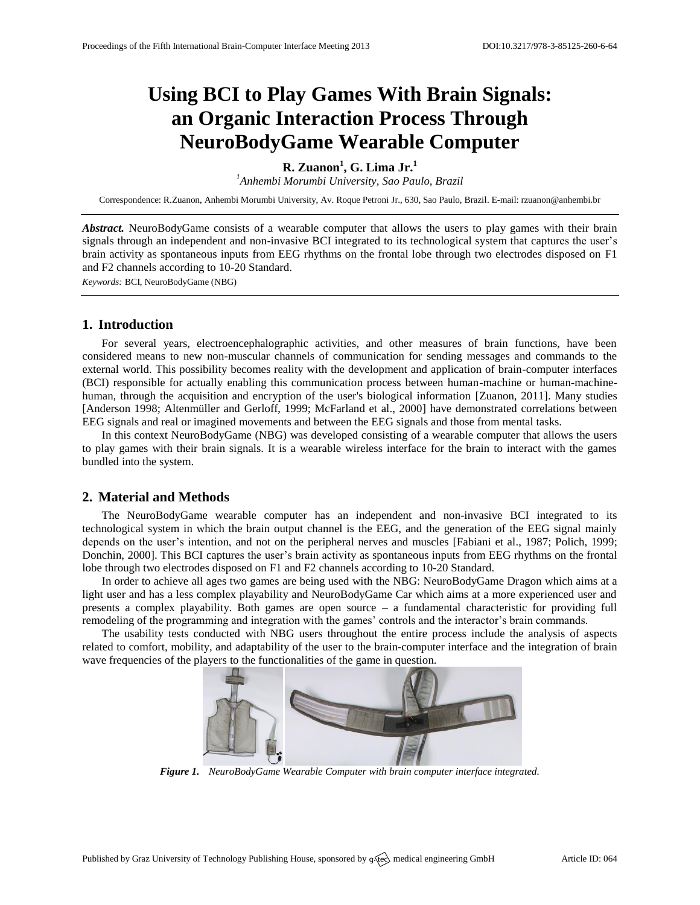# **Using BCI to Play Games With Brain Signals: an Organic Interaction Process Through NeuroBodyGame Wearable Computer**

## **R. Zuanon<sup>1</sup> , G. Lima Jr.<sup>1</sup>**

*<sup>1</sup>Anhembi Morumbi University, Sao Paulo, Brazil*

Correspondence: R.Zuanon, Anhembi Morumbi University, Av. Roque Petroni Jr., 630, Sao Paulo, Brazil. E-mail[: rzuanon@anhembi.br](mailto:rzuanon@anhembi.br)

*Abstract.* NeuroBodyGame consists of a wearable computer that allows the users to play games with their brain signals through an independent and non-invasive BCI integrated to its technological system that captures the user's brain activity as spontaneous inputs from EEG rhythms on the frontal lobe through two electrodes disposed on F1 and F2 channels according to 10-20 Standard.

*Keywords:* BCI, NeuroBodyGame (NBG)

### **1. Introduction**

For several years, electroencephalographic activities, and other measures of brain functions, have been considered means to new non-muscular channels of communication for sending messages and commands to the external world. This possibility becomes reality with the development and application of brain-computer interfaces (BCI) responsible for actually enabling this communication process between human-machine or human-machinehuman, through the acquisition and encryption of the user's biological information [Zuanon, 2011]. Many studies [Anderson 1998; Altenmüller and Gerloff, 1999; McFarland et al., 2000] have demonstrated correlations between EEG signals and real or imagined movements and between the EEG signals and those from mental tasks.

In this context NeuroBodyGame (NBG) was developed consisting of a wearable computer that allows the users to play games with their brain signals. It is a wearable wireless interface for the brain to interact with the games bundled into the system.

## **2. Material and Methods**

The NeuroBodyGame wearable computer has an independent and non-invasive BCI integrated to its technological system in which the brain output channel is the EEG, and the generation of the EEG signal mainly depends on the user's intention, and not on the peripheral nerves and muscles [Fabiani et al., 1987; Polich, 1999; Donchin, 2000]. This BCI captures the user's brain activity as spontaneous inputs from EEG rhythms on the frontal lobe through two electrodes disposed on F1 and F2 channels according to 10-20 Standard.

In order to achieve all ages two games are being used with the NBG: NeuroBodyGame Dragon which aims at a light user and has a less complex playability and NeuroBodyGame Car which aims at a more experienced user and presents a complex playability. Both games are open source – a fundamental characteristic for providing full remodeling of the programming and integration with the games' controls and the interactor's brain commands.

The usability tests conducted with NBG users throughout the entire process include the analysis of aspects related to comfort, mobility, and adaptability of the user to the brain-computer interface and the integration of brain wave frequencies of the players to the functionalities of the game in question.



*Figure 1. NeuroBodyGame Wearable Computer with brain computer interface integrated.*